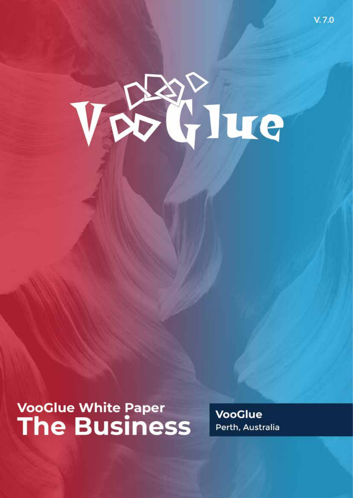

## **VooGlue White Paper The Business**

**VooGlue** Perth, Australia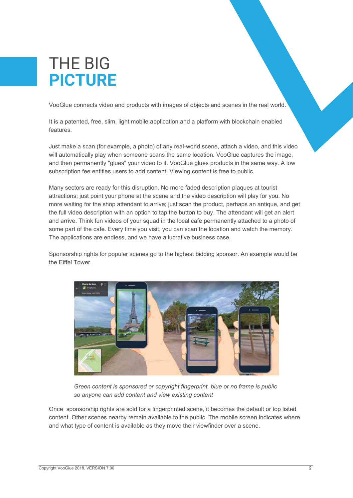## THE BIG **PICTURE**

VooGlue connects video and products with images of objects and scenes in the real world.

It is a patented, free, slim, light mobile application and a platform with blockchain enabled features.

Just make a scan (for example, a photo) of any real-world scene, attach a video, and this video will automatically play when someone scans the same location. VooGlue captures the image, and then permanently "glues" your video to it. VooGlue glues products in the same way. A low subscription fee entitles users to add content. Viewing content is free to public.

Many sectors are ready for this disruption. No more faded description plaques at tourist attractions; just point your phone at the scene and the video description will play for you. No more waiting for the shop attendant to arrive; just scan the product, perhaps an antique, and get the full video description with an option to tap the button to buy. The attendant will get an alert and arrive. Think fun videos of your squad in the local cafe permanently attached to a photo of some part of the cafe. Every time you visit, you can scan the location and watch the memory. The applications are endless, and we have a lucrative business case.

Sponsorship rights for popular scenes go to the highest bidding sponsor. An example would be the Eiffel Tower.



*Green content is sponsored or copyright fingerprint, blue or no frame is public so anyone can add content and view existing content*

Once sponsorship rights are sold for a fingerprinted scene, it becomes the default or top listed content. Other scenes nearby remain available to the public. The mobile screen indicates where and what type of content is available as they move their viewfinder over a scene.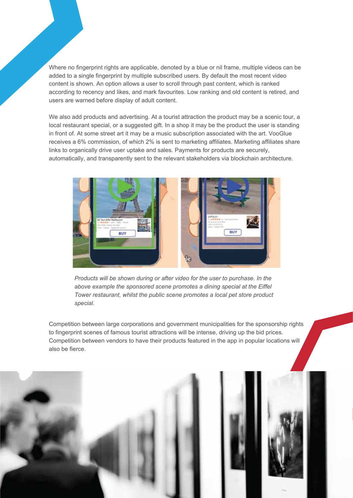Where no fingerprint rights are applicable, denoted by a blue or nil frame, multiple videos can be added to a single fingerprint by multiple subscribed users. By default the most recent video content is shown. An option allows a user to scroll through past content, which is ranked according to recency and likes, and mark favourites. Low ranking and old content is retired, and users are warned before display of adult content.

We also add products and advertising. At a tourist attraction the product may be a scenic tour, a local restaurant special, or a suggested gift. In a shop it may be the product the user is standing in front of. At some street art it may be a music subscription associated with the art. VooGlue receives a 6% commission, of which 2% is sent to marketing affiliates. Marketing affiliates share links to organically drive user uptake and sales. Payments for products are securely, automatically, and transparently sent to the relevant stakeholders via blockchain architecture.



*Products will be shown during or after video for the user to purchase. In the above example the sponsored scene promotes a dining special at the Eiffel Tower restaurant, whilst the public scene promotes a local pet store product special.*

Competition between large corporations and government municipalities for the sponsorship rights to fingerprint scenes of famous tourist attractions will be intense, driving up the bid prices. Competition between vendors to have their products featured in the app in popular locations will also be fierce.

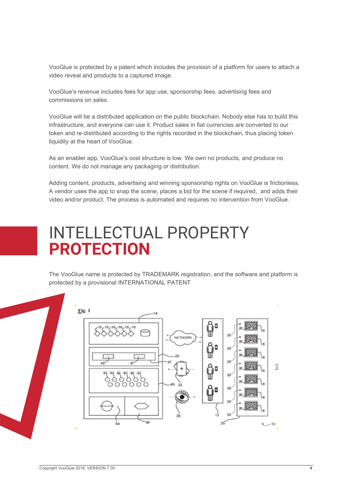VooGlue is protected by a patent which includes the provision of a platform for users to attach a video reveal and products to a captured image.

VooGlue's revenue includes fees for app use, sponsorship fees, advertising fees and commissions on sales.

VooGlue will be a distributed application on the public blockchain. Nobody else has to build this infrastructure, and everyone can use it. Product sales in fiat currencies are converted to our token and re-distributed according to the rights recorded in the blockchain, thus placing token liquidity at the heart of VooGlue.

As an enabler app, VooGlue's cost structure is low. We own no products, and produce no content. We do not manage any packaging or distribution.

Adding content, products, advertising and winning sponsorship rights on VooGlue is frictionless. A vendor uses the app to snap the scene, places a bid for the scene if required, and adds their video and/or product. The process is automated and requires no intervention from VooGlue.

## INTELLECTUAL PROPERTY **PROTECTION**

The VooGlue name is protected by TRADEMARK registration, and the software and platform is protected by a provisional INTERNATIONAL PATENT

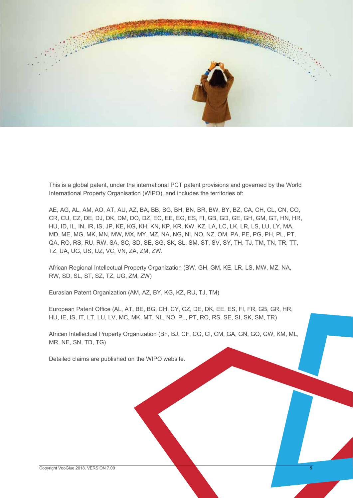

This is a global patent, under the international PCT patent provisions and governed by the World International Property Organisation (WIPO), and includes the territories of:

AE, AG, AL, AM, AO, AT, AU, AZ, BA, BB, BG, BH, BN, BR, BW, BY, BZ, CA, CH, CL, CN, CO, CR, CU, CZ, DE, DJ, DK, DM, DO, DZ, EC, EE, EG, ES, FI, GB, GD, GE, GH, GM, GT, HN, HR, HU, ID, IL, IN, IR, IS, JP, KE, KG, KH, KN, KP, KR, KW, KZ, LA, LC, LK, LR, LS, LU, LY, MA, MD, ME, MG, MK, MN, MW, MX, MY, MZ, NA, NG, NI, NO, NZ, OM, PA, PE, PG, PH, PL, PT, QA, RO, RS, RU, RW, SA, SC, SD, SE, SG, SK, SL, SM, ST, SV, SY, TH, TJ, TM, TN, TR, TT, TZ, UA, UG, US, UZ, VC, VN, ZA, ZM, ZW.

African Regional Intellectual Property Organization (BW, GH, GM, KE, LR, LS, MW, MZ, NA, RW, SD, SL, ST, SZ, TZ, UG, ZM, ZW)

Eurasian Patent Organization (AM, AZ, BY, KG, KZ, RU, TJ, TM)

European Patent Office (AL, AT, BE, BG, CH, CY, CZ, DE, DK, EE, ES, FI, FR, GB, GR, HR, HU, IE, IS, IT, LT, LU, LV, MC, MK, MT, NL, NO, PL, PT, RO, RS, SE, SI, SK, SM, TR)

African Intellectual Property Organization (BF, BJ, CF, CG, CI, CM, GA, GN, GQ, GW, KM, ML, MR, NE, SN, TD, TG)

Detailed claims are published on the WIPO website.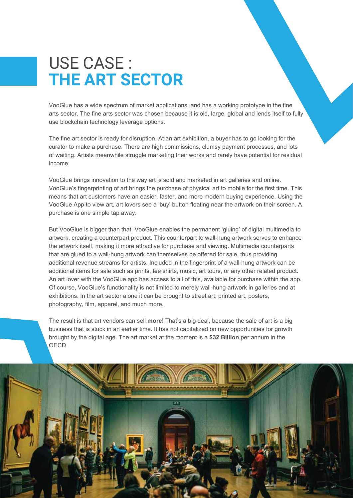## USE CASE : **THE ART SECTOR**

VooGlue has a wide spectrum of market applications, and has a working prototype in the fine arts sector. The fine arts sector was chosen because it is old, large, global and lends itself to fully use blockchain technology leverage options.

The fine art sector is ready for disruption. At an art exhibition, a buyer has to go looking for the curator to make a purchase. There are high commissions, clumsy payment processes, and lots of waiting. Artists meanwhile struggle marketing their works and rarely have potential for residual income.

VooGlue brings innovation to the way art is sold and marketed in art galleries and online. VooGlue's fingerprinting of art brings the purchase of physical art to mobile for the first time. This means that art customers have an easier, faster, and more modern buying experience. Using the VooGlue App to view art, art lovers see a 'buy' button floating near the artwork on their screen. A purchase is one simple tap away.

But VooGlue is bigger than that. VooGlue enables the permanent 'gluing' of digital multimedia to artwork, creating a counterpart product. This counterpart to wall-hung artwork serves to enhance the artwork itself, making it more attractive for purchase and viewing. Multimedia counterparts that are glued to a wall-hung artwork can themselves be offered for sale, thus providing additional revenue streams for artists. Included in the fingerprint of a wall-hung artwork can be additional items for sale such as prints, tee shirts, music, art tours, or any other related product. An art lover with the VooGlue app has access to all of this, available for purchase within the app. Of course, VooGlue's functionality is not limited to merely wall-hung artwork in galleries and at exhibitions. In the art sector alone it can be brought to street art, printed art, posters, photography, film, apparel, and much more.

The result is that art vendors can sell **more**! That's a big deal, because the sale of art is a big business that is stuck in an earlier time. It has not capitalized on new opportunities for growth brought by the digital age. The art market at the moment is a **\$32 Billion** per annum in the OECD.

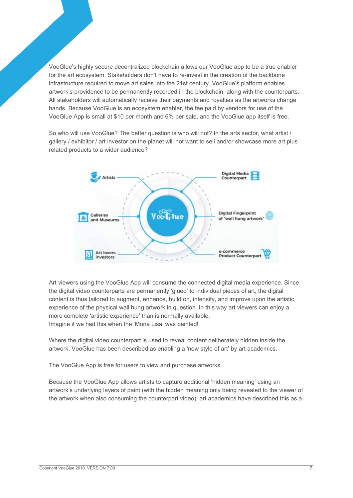VooGlue's highly secure decentralized blockchain allows our VooGlue app to be a true enabler for the art ecosystem. Stakeholders don't have to re-invest in the creation of the backbone infrastructure required to move art sales into the 21st century. VooGlue's platform enables artwork's providence to be permanently recorded in the blockchain, along with the counterparts. All stakeholders will automatically receive their payments and royalties as the artworks change hands. Because VooGlue is an ecosystem enabler, the fee paid by vendors for use of the VooGlue App is small at \$10 per month and 6% per sale, and the VooGlue app itself is free.

So who will use VooGlue? The better question is who will not? In the arts sector, what artist / gallery / exhibitor / art investor on the planet will not want to sell and/or showcase more art plus related products to a wider audience?



Art viewers using the VooGlue App will consume the connected digital media experience. Since the digital video counterparts are permanently 'glued' to individual pieces of art, the digital content is thus tailored to augment, enhance, build on, intensify, and improve upon the artistic experience of the physical wall hung artwork in question. In this way art viewers can enjoy a more complete 'artistic experience' than is normally available. Imagine if we had this when the 'Mona Lisa' was painted!

Where the digital video counterpart is used to reveal content deliberately hidden inside the artwork, VooGlue has been described as enabling a 'new style of art' by art academics.

The VooGlue App is free for users to view and purchase artworks.

Because the VooGlue App allows artists to capture additional 'hidden meaning' using an artwork's underlying layers of paint (with the hidden meaning only being revealed to the viewer of the artwork when also consuming the counterpart video), art academics have described this as a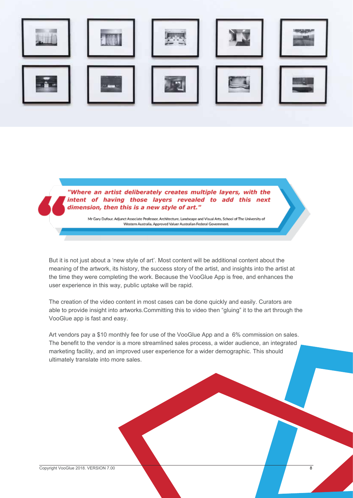

"Where an artist deliberately creates multiple layers, with the intent of having those layers revealed to add this next dimension, then this is a new style of art."

Mr Gary Dufour. Adjunct Associate Professor, Architecture, Landscape and Visual Arts, School of The University of Western Australia, Approved Valuer Australian Federal Government.

But it is not just about a 'new style of art'. Most content will be additional content about the meaning of the artwork, its history, the success story of the artist, and insights into the artist at the time they were completing the work. Because the VooGlue App is free, and enhances the user experience in this way, public uptake will be rapid.

The creation of the video content in most cases can be done quickly and easily. Curators are able to provide insight into artworks.Committing this to video then "gluing" it to the art through the VooGlue app is fast and easy.

Art vendors pay a \$10 monthly fee for use of the VooGlue App and a 6% commission on sales. The benefit to the vendor is a more streamlined sales process, a wider audience, an integrated marketing facility, and an improved user experience for a wider demographic. This should ultimately translate into more sales.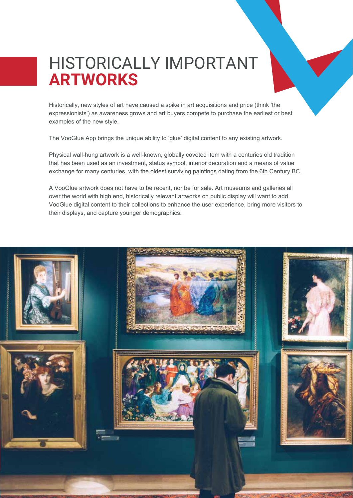### HISTORICALLY IMPORTANT **ARTWORKS**

Historically, new styles of art have caused a spike in art acquisitions and price (think 'the expressionists') as awareness grows and art buyers compete to purchase the earliest or best examples of the new style.

The VooGlue App brings the unique ability to 'glue' digital content to any existing artwork.

Physical wall-hung artwork is a well-known, globally coveted item with a centuries old tradition that has been used as an investment, status symbol, interior decoration and a means of value exchange for many centuries, with the oldest surviving paintings dating from the 6th Century BC.

A VooGlue artwork does not have to be recent, nor be for sale. Art museums and galleries all over the world with high end, historically relevant artworks on public display will want to add VooGlue digital content to their collections to enhance the user experience, bring more visitors to their displays, and capture younger demographics.

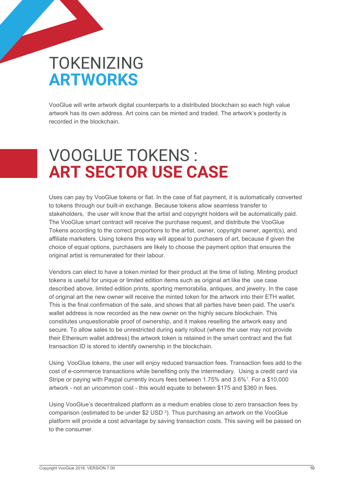## TOKENIZING **ARTWORKS**

VooGlue will write artwork digital counterparts to a distributed blockchain so each high value artwork has its own address. Art coins can be minted and traded. The artwork's posterity is recorded in the blockchain.

## VOOGLUE TOKENS : **ART SECTOR USE CASE**

Uses can pay by VooGlue tokens or fiat. In the case of fiat payment, it is automatically converted to tokens through our built-in exchange. Because tokens allow seamless transfer to stakeholders, the user will know that the artist and copyright holders will be automatically paid. The VooGlue smart contract will receive the purchase request, and distribute the VooGlue Tokens according to the correct proportions to the artist, owner, copyright owner, agent(s), and affiliate marketers. Using tokens this way will appeal to purchasers of art, because if given the choice of equal options, purchasers are likely to choose the payment option that ensures the original artist is remunerated for their labour.

Vendors can elect to have a token minted for their product at the time of listing. Minting product tokens is useful for unique or limited edition items such as original art like the use case described above, limited edition prints, sporting memorabilia, antiques, and jewelry. In the case of original art the new owner will receive the minted token for the artwork into their ETH wallet. This is the final confirmation of the sale, and shows that all parties have been paid. The user's wallet address is now recorded as the new owner on the highly secure blockchain. This constitutes unquestionable proof of ownership, and it makes reselling the artwork easy and secure. To allow sales to be unrestricted during early rollout (where the user may not provide their Ethereum wallet address) the artwork token is retained in the smart contract and the fiat transaction ID is stored to identify ownership in the blockchain.

Using VooGlue tokens, the user will enjoy reduced transaction fees. Transaction fees add to the cost of e-commerce transactions while benefiting only the intermediary. Using a credit card via Stripe or paying with Paypal currently incurs fees between 1.75% and 3.6%<sup>1</sup>. For a \$10,000 artwork - not an uncommon cost - this would equate to between \$175 and \$360 in fees.

Using VooGlue's decentralized platform as a medium enables close to zero transaction fees by comparison (estimated to be under  $$2$  USD<sup>2</sup>). Thus purchasing an artwork on the VooGlue platform will provide a cost advantage by saving transaction costs. This saving will be passed on to the consumer.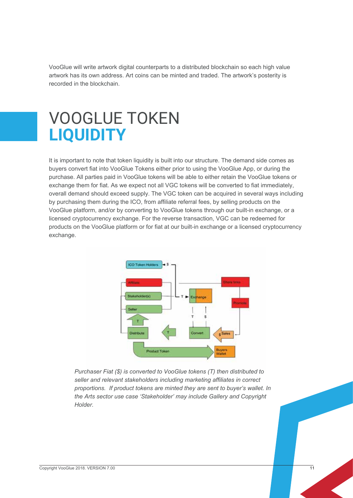VooGlue will write artwork digital counterparts to a distributed blockchain so each high value artwork has its own address. Art coins can be minted and traded. The artwork's posterity is recorded in the blockchain.

## VOOGLUE TOKEN **LIQUIDITY**

It is important to note that token liquidity is built into our structure. The demand side comes as buyers convert fiat into VooGlue Tokens either prior to using the VooGlue App, or during the purchase. All parties paid in VooGlue tokens will be able to either retain the VooGlue tokens or exchange them for fiat. As we expect not all VGC tokens will be converted to fiat immediately, overall demand should exceed supply. The VGC token can be acquired in several ways including by purchasing them during the ICO, from affiliate referral fees, by selling products on the VooGlue platform, and/or by converting to VooGlue tokens through our built-in exchange, or a licensed cryptocurrency exchange. For the reverse transaction, VGC can be redeemed for products on the VooGlue platform or for fiat at our built-in exchange or a licensed cryptocurrency exchange.



*Purchaser Fiat (\$) is converted to VooGlue tokens (T) then distributed to seller and relevant stakeholders including marketing affiliates in correct proportions. If product tokens are minted they are sent to buyer's wallet. In the Arts sector use case 'Stakeholder' may include Gallery and Copyright Holder.*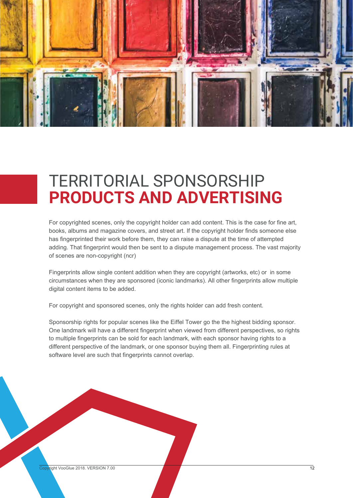

## TERRITORIAL SPONSORSHIP **PRODUCTS AND ADVERTISING**

For copyrighted scenes, only the copyright holder can add content. This is the case for fine art, books, albums and magazine covers, and street art. If the copyright holder finds someone else has fingerprinted their work before them, they can raise a dispute at the time of attempted adding. That fingerprint would then be sent to a dispute management process. The vast majority of scenes are non-copyright (ncr)

Fingerprints allow single content addition when they are copyright (artworks, etc) or in some circumstances when they are sponsored (iconic landmarks). All other fingerprints allow multiple digital content items to be added.

For copyright and sponsored scenes, only the rights holder can add fresh content.

Sponsorship rights for popular scenes like the Eiffel Tower go the the highest bidding sponsor. One landmark will have a different fingerprint when viewed from different perspectives, so rights to multiple fingerprints can be sold for each landmark, with each sponsor having rights to a different perspective of the landmark, or one sponsor buying them all. Fingerprinting rules at software level are such that fingerprints cannot overlap.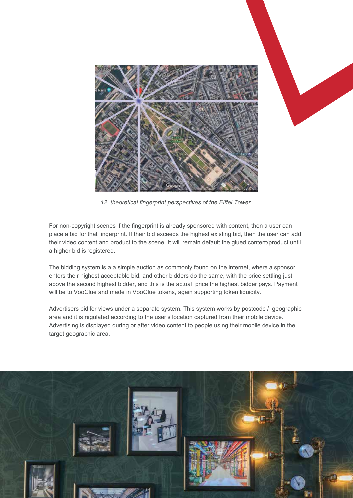

*12 theoretical fingerprint perspectives of the Eiffel Tower*

For non-copyright scenes if the fingerprint is already sponsored with content, then a user can place a bid for that fingerprint. If their bid exceeds the highest existing bid, then the user can add their video content and product to the scene. It will remain default the glued content/product until a higher bid is registered.

The bidding system is a a simple auction as commonly found on the internet, where a sponsor enters their highest acceptable bid, and other bidders do the same, with the price settling just above the second highest bidder, and this is the actual price the highest bidder pays. Payment will be to VooGlue and made in VooGlue tokens, again supporting token liquidity.

Advertisers bid for views under a separate system. This system works by postcode / geographic area and it is regulated according to the user's location captured from their mobile device. Advertising is displayed during or after video content to people using their mobile device in the target geographic area.

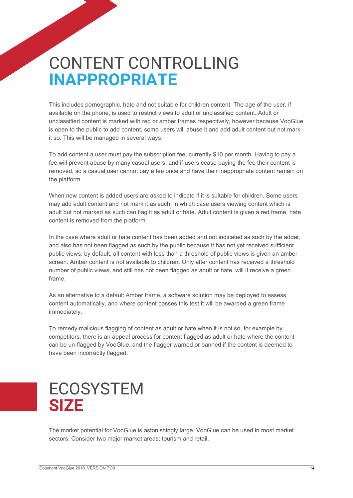## CONTENT CONTROLLING **INAPPROPRIATE**

This includes pornographic, hate and not suitable for children content. The age of the user, if available on the phone, is used to restrict views to adult or unclassified content. Adult or unclassified content is marked with red or amber frames respectively, however because VooGlue is open to the public to add content, some users will abuse it and add adult content but not mark it so. This will be managed in several ways.

To add content a user must pay the subscription fee, currently \$10 per month. Having to pay a fee will prevent abuse by many casual users, and if users cease paying the fee their content is removed, so a casual user cannot pay a fee once and have their inappropriate content remain on the platform.

When new content is added users are asked to indicate if it is suitable for children. Some users may add adult content and not mark it as such, in which case users viewing content which is adult but not marked as such can flag it as adult or hate. Adult content is given a red frame, hate content is removed from the platform.

In the case where adult or hate content has been added and not indicated as such by the adder, and also has not been flagged as such by the public because it has not yet received sufficient public views, by default, all content with less than a threshold of public views is given an amber screen. Amber content is not available to children. Only after content has received a threshold number of public views, and still has not been flagged as adult or hate, will it receive a green frame.

As an alternative to a default Amber frame, a software solution may be deployed to assess content automatically, and where content passes this test it will be awarded a green frame immediately.

To remedy malicious flagging of content as adult or hate when it is not so, for example by competitors, there is an appeal process for content flagged as adult or hate where the content can be un-flagged by VooGlue, and the flagger warned or banned if the content is deemed to have been incorrectly flagged.

### **ECOSYSTEM SIZE**

The market potential for VooGlue is astonishingly large. VooGlue can be used in most market sectors. Consider two major market areas: tourism and retail.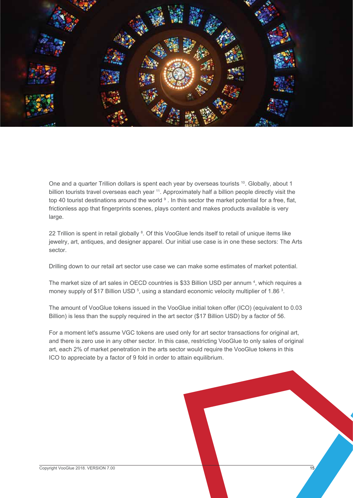

One and a quarter Trillion dollars is spent each year by overseas tourists <sup>10</sup>. Globally, about 1 billion tourists travel overseas each year <sup>11</sup>. Approximately half a billion people directly visit the top 40 tourist destinations around the world <sup>9</sup>. In this sector the market potential for a free, flat, frictionless app that fingerprints scenes, plays content and makes products available is very large.

22 Trillion is spent in retail globally <sup>8</sup>. Of this VooGlue lends itself to retail of unique items like jewelry, art, antiques, and designer apparel. Our initial use case is in one these sectors: The Arts sector.

Drilling down to our retail art sector use case we can make some estimates of market potential.

The market size of art sales in OECD countries is \$33 Billion USD per annum <sup>4</sup>, which requires a money supply of \$17 Billion USD  $5$ , using a standard economic velocity multiplier of 1.86  $3$ .

The amount of VooGlue tokens issued in the VooGlue initial token offer (ICO) (equivalent to 0.03 Billion) is less than the supply required in the art sector (\$17 Billion USD) by a factor of 56.

For a moment let's assume VGC tokens are used only for art sector transactions for original art, and there is zero use in any other sector. In this case, restricting VooGlue to only sales of original art, each 2% of market penetration in the arts sector would require the VooGlue tokens in this ICO to appreciate by a factor of 9 fold in order to attain equilibrium.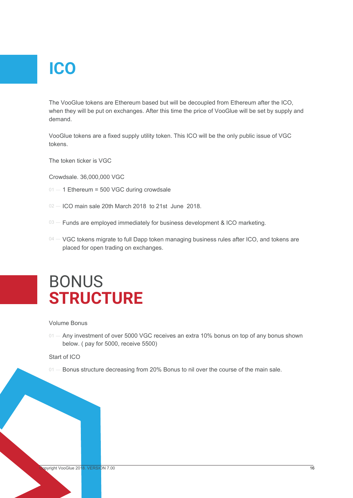# **ICO**

The VooGlue tokens are Ethereum based but will be decoupled from Ethereum after the ICO, when they will be put on exchanges. After this time the price of VooGlue will be set by supply and demand.

VooGlue tokens are a fixed supply utility token. This ICO will be the only public issue of VGC tokens.

The token ticker is VGC

Crowdsale. 36,000,000 VGC

- $01 1$  Ethereum = 500 VGC during crowdsale
- $O(2 100)$  main sale 20th March 2018 to 21st June 2018.
- $\sqrt{103}$  Funds are employed immediately for business development & ICO marketing.
- $\alpha$  VGC tokens migrate to full Dapp token managing business rules after ICO, and tokens are placed for open trading on exchanges.

### BONUS **STRUCTURE**

#### Volume Bonus

 $\circ$ 1  $-$  Any investment of over 5000 VGC receives an extra 10% bonus on top of any bonus shown below. ( pay for 5000, receive 5500)

#### Start of ICO

01 – Bonus structure decreasing from 20% Bonus to nil over the course of the main sale.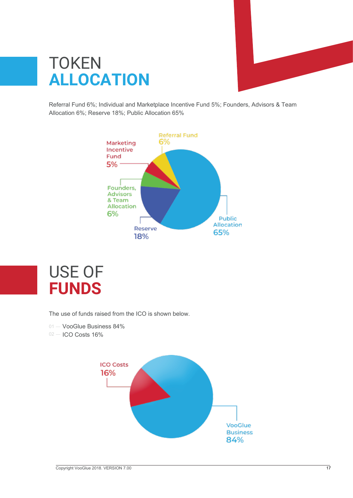

## **TOKEN ALLOCATION**

Referral Fund 6%; Individual and Marketplace Incentive Fund 5%; Founders, Advisors & Team Allocation 6%; Reserve 18%; Public Allocation 65%





The use of funds raised from the ICO is shown below.

01 - VooGlue Business 84%

02 – ICO Costs 16%

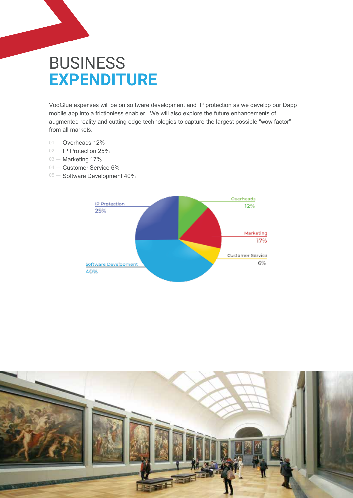## **BUSINESS EXPENDITURE**

VooGlue expenses will be on software development and IP protection as we develop our Dapp mobile app into a frictionless enabler.. We will also explore the future enhancements of augmented reality and cutting edge technologies to capture the largest possible "wow factor" from all markets.

- 01 Overheads 12%
- IP Protection 25%  $02 -$
- 03 Marketing 17%
- 04 Customer Service 6%
- Software Development 40%  $05 -$



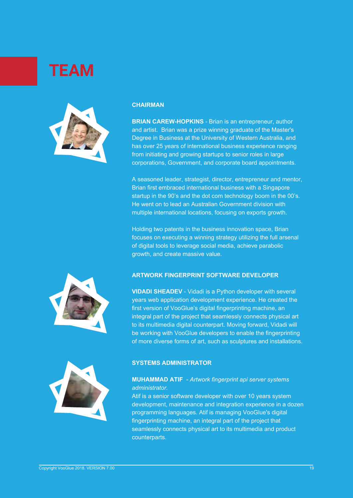## **TEAM**



#### **CHAIRMAN**

**BRIAN CAREW-HOPKINS** - Brian is an entrepreneur, author and artist. Brian was a prize winning graduate of the Master's Degree in Business at the University of Western Australia, and has over 25 years of international business experience ranging from initiating and growing startups to senior roles in large corporations, Government, and corporate board appointments.

A seasoned leader, strategist, director, entrepreneur and mentor, Brian first embraced international business with a Singapore startup in the 90's and the dot com technology boom in the 00's. He went on to lead an Australian Government division with multiple international locations, focusing on exports growth.

Holding two patents in the business innovation space, Brian focuses on executing a winning strategy utilizing the full arsenal of digital tools to leverage social media, achieve parabolic growth, and create massive value.



### **ARTWORK FINGERPRINT SOFTWARE DEVELOPER**

**VIDADI SHEADEV** - Vidadi is a Python developer with several years web application development experience. He created the first version of VooGlue's digital fingerprinting machine, an integral part of the project that seamlessly connects physical art to its multimedia digital counterpart. Moving forward, Vidadi will be working with VooGlue developers to enable the fingerprinting of more diverse forms of art, such as sculptures and installations.



#### **SYSTEMS ADMINISTRATOR**

### **MUHAMMAD ATIF** - *Artwork fingerprint api server systems administrator.*

Atif is a senior software developer with over 10 years system development, maintenance and integration experience in a dozen programming languages. Atif is managing VooGlue's digital fingerprinting machine, an integral part of the project that seamlessly connects physical art to its multimedia and product counterparts.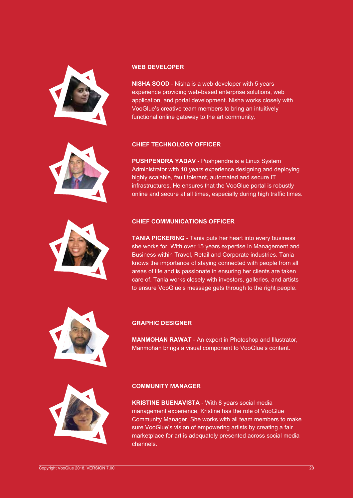



**NISHA SOOD** - Nisha is a web developer with 5 years experience providing web-based enterprise solutions, web application, and portal development. Nisha works closely with VooGlue's creative team members to bring an intuitively functional online gateway to the art community.



**PUSHPENDRA YADAV** - Pushpendra is a Linux System Administrator with 10 years experience designing and deploying highly scalable, fault tolerant, automated and secure IT infrastructures. He ensures that the VooGlue portal is robustly online and secure at all times, especially during high traffic times.

### **CHIEF COMMUNICATIONS OFFICER**

**TANIA PICKERING** - Tania puts her heart into every business she works for. With over 15 years expertise in Management and Business within Travel, Retail and Corporate industries. Tania knows the importance of staying connected with people from all areas of life and is passionate in ensuring her clients are taken care of. Tania works closely with investors, galleries, and artists to ensure VooGlue's message gets through to the right people.



### **GRAPHIC DESIGNER**

**MANMOHAN RAWAT** - An expert in Photoshop and Illustrator, Manmohan brings a visual component to VooGlue's content.



### **COMMUNITY MANAGER**

**KRISTINE BUENAVISTA** - With 8 years social media management experience, Kristine has the role of VooGlue Community Manager. She works with all team members to make sure VooGlue's vision of empowering artists by creating a fair marketplace for art is adequately presented across social media channels.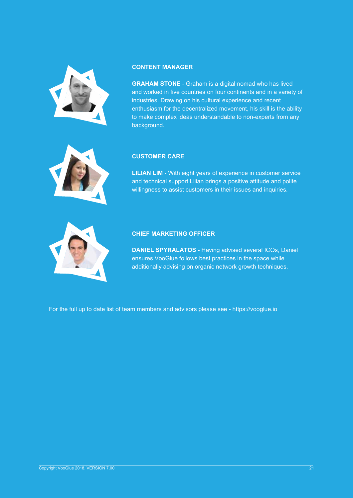

#### **CONTENT MANAGER**

**GRAHAM STONE** - Graham is a digital nomad who has lived and worked in five countries on four continents and in a variety of industries. Drawing on his cultural experience and recent enthusiasm for the decentralized movement, his skill is the ability to make complex ideas understandable to non-experts from any background.



### **CUSTOMER CARE**

**LILIAN LIM** - With eight years of experience in customer service and technical support Lilian brings a positive attitude and polite willingness to assist customers in their issues and inquiries.



### **CHIEF MARKETING OFFICER**

**DANIEL SPYRALATOS** - Having advised several ICOs, Daniel ensures VooGlue follows best practices in the space while additionally advising on organic network growth techniques.

For the full up to date list of team members and advisors please see - https://vooglue.io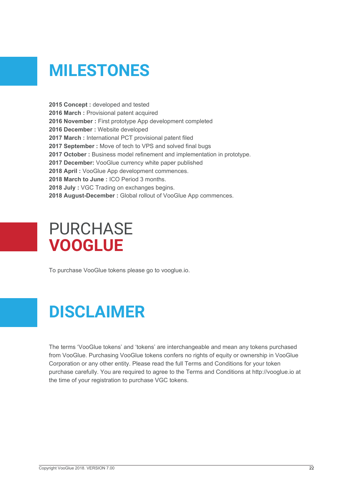# **MILESTONES**

2015 Concept : developed and tested **2016 March :** Provisional patent acquired **2016 November :** First prototype App development completed **2016 December :** Website developed **2017 March :** International PCT provisional patent filed **2017 September :** Move of tech to VPS and solved final bugs **2017 October :** Business model refinement and implementation in prototype. **2017 December:** VooGlue currency white paper published **2018 April :** VooGlue App development commences. **2018 March to June :** ICO Period 3 months. **2018 July :** VGC Trading on exchanges begins. **2018 August-December :** Global rollout of VooGlue App commences.

## PURCHASE **VOOGLUE**

To purchase VooGlue tokens please go to vooglue.io.

## **DISCLAIMER**

The terms 'VooGlue tokens' and 'tokens' are interchangeable and mean any tokens purchased from VooGlue. Purchasing VooGlue tokens confers no rights of equity or ownership in VooGlue Corporation or any other entity. Please read the full Terms and Conditions for your token purchase carefully. You are required to agree to the Terms and Conditions at http://vooglue.io at the time of your registration to purchase VGC tokens.